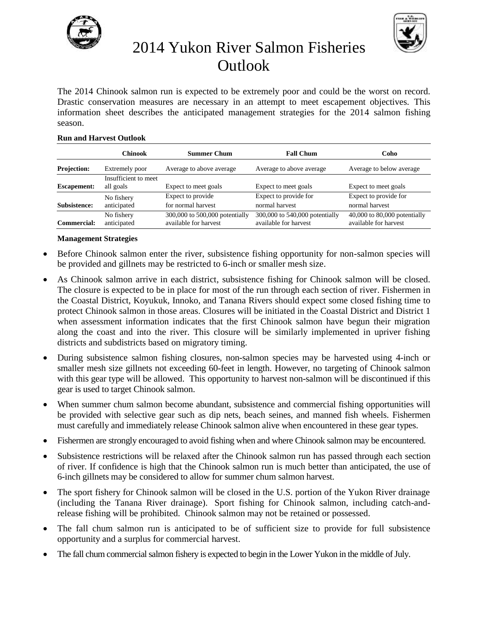



## 2014 Yukon River Salmon Fisheries Outlook

The 2014 Chinook salmon run is expected to be extremely poor and could be the worst on record. Drastic conservation measures are necessary in an attempt to meet escapement objectives. This information sheet describes the anticipated management strategies for the 2014 salmon fishing season.

#### **Run and Harvest Outlook**

|                    | Chinook                           | <b>Summer Chum</b>                                      | <b>Fall Chum</b>                                        | Coho                                                  |
|--------------------|-----------------------------------|---------------------------------------------------------|---------------------------------------------------------|-------------------------------------------------------|
| <b>Projection:</b> | Extremely poor                    | Average to above average                                | Average to above average                                | Average to below average                              |
| <b>Escapement:</b> | Insufficient to meet<br>all goals | Expect to meet goals                                    | Expect to meet goals                                    | Expect to meet goals                                  |
| Subsistence:       | No fishery<br>anticipated         | Expect to provide<br>for normal harvest                 | Expect to provide for<br>normal harvest                 | Expect to provide for<br>normal harvest               |
| Commercial:        | No fishery<br>anticipated         | 300,000 to 500,000 potentially<br>available for harvest | 300,000 to 540,000 potentially<br>available for harvest | 40,000 to 80,000 potentially<br>available for harvest |

### **Management Strategies**

- Before Chinook salmon enter the river, subsistence fishing opportunity for non-salmon species will be provided and gillnets may be restricted to 6-inch or smaller mesh size.
- As Chinook salmon arrive in each district, subsistence fishing for Chinook salmon will be closed. The closure is expected to be in place for most of the run through each section of river. Fishermen in the Coastal District, Koyukuk, Innoko, and Tanana Rivers should expect some closed fishing time to protect Chinook salmon in those areas. Closures will be initiated in the Coastal District and District 1 when assessment information indicates that the first Chinook salmon have begun their migration along the coast and into the river. This closure will be similarly implemented in upriver fishing districts and subdistricts based on migratory timing.
- During subsistence salmon fishing closures, non-salmon species may be harvested using 4-inch or smaller mesh size gillnets not exceeding 60-feet in length. However, no targeting of Chinook salmon with this gear type will be allowed. This opportunity to harvest non-salmon will be discontinued if this gear is used to target Chinook salmon.
- When summer chum salmon become abundant, subsistence and commercial fishing opportunities will be provided with selective gear such as dip nets, beach seines, and manned fish wheels. Fishermen must carefully and immediately release Chinook salmon alive when encountered in these gear types.
- Fishermen are strongly encouraged to avoid fishing when and where Chinook salmon may be encountered.
- Subsistence restrictions will be relaxed after the Chinook salmon run has passed through each section of river. If confidence is high that the Chinook salmon run is much better than anticipated, the use of 6-inch gillnets may be considered to allow for summer chum salmon harvest.
- The sport fishery for Chinook salmon will be closed in the U.S. portion of the Yukon River drainage (including the Tanana River drainage). Sport fishing for Chinook salmon, including catch-andrelease fishing will be prohibited. Chinook salmon may not be retained or possessed.
- The fall chum salmon run is anticipated to be of sufficient size to provide for full subsistence opportunity and a surplus for commercial harvest.
- The fall chum commercial salmon fishery is expected to begin in the Lower Yukon in the middle of July.